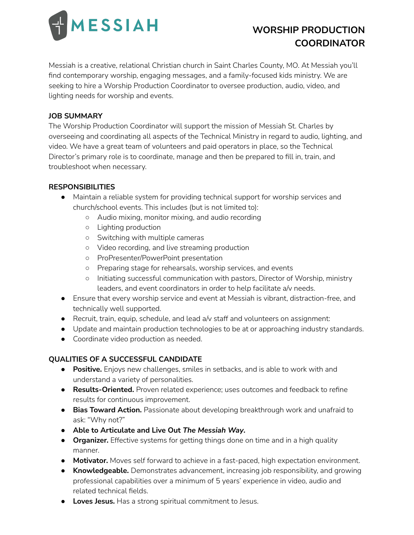

# **WORSHIP PRODUCTION COORDINATOR**

Messiah is a creative, relational Christian church in Saint Charles County, MO. At Messiah you'll find contemporary worship, engaging messages, and a family-focused kids ministry. We are seeking to hire a Worship Production Coordinator to oversee production, audio, video, and lighting needs for worship and events.

### **JOB SUMMARY**

The Worship Production Coordinator will support the mission of Messiah St. Charles by overseeing and coordinating all aspects of the Technical Ministry in regard to audio, lighting, and video. We have a great team of volunteers and paid operators in place, so the Technical Director's primary role is to coordinate, manage and then be prepared to fill in, train, and troubleshoot when necessary.

### **RESPONSIBILITIES**

- Maintain a reliable system for providing technical support for worship services and church/school events. This includes (but is not limited to):
	- Audio mixing, monitor mixing, and audio recording
	- Lighting production
	- Switching with multiple cameras
	- Video recording, and live streaming production
	- ProPresenter/PowerPoint presentation
	- Preparing stage for rehearsals, worship services, and events
	- Initiating successful communication with pastors, Director of Worship, ministry leaders, and event coordinators in order to help facilitate a/v needs.
- Ensure that every worship service and event at Messiah is vibrant, distraction-free, and technically well supported.
- $\bullet$  Recruit, train, equip, schedule, and lead a/v staff and volunteers on assignment:
- Update and maintain production technologies to be at or approaching industry standards.
- Coordinate video production as needed.

### **QUALITIES OF A SUCCESSFUL CANDIDATE**

- **Positive.** Enjoys new challenges, smiles in setbacks, and is able to work with and understand a variety of personalities.
- **Results-Oriented.** Proven related experience; uses outcomes and feedback to refine results for continuous improvement.
- **Bias Toward Action.** Passionate about developing breakthrough work and unafraid to ask: "Why not?"
- **● Able to Articulate and Live Out** *The Messiah Way***.**
- **Organizer.** Effective systems for getting things done on time and in a high quality manner.
- **Motivator.** Moves self forward to achieve in a fast-paced, high expectation environment.
- **Knowledgeable.** Demonstrates advancement, increasing job responsibility, and growing professional capabilities over a minimum of 5 years' experience in video, audio and related technical fields.
- **Loves Jesus.** Has a strong spiritual commitment to Jesus.